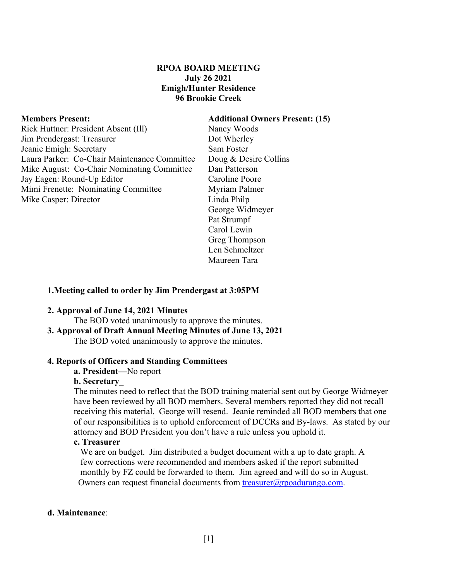## **RPOA BOARD MEETING July 26 2021 Emigh/Hunter Residence 96 Brookie Creek**

Rick Huttner: President Absent (III) Nancy Woods Jim Prendergast: Treasurer Dot Wherley Jeanie Emigh: Secretary Sam Foster Laura Parker: Co-Chair Maintenance Committee Doug & Desire Collins Mike August: Co-Chair Nominating Committee Dan Patterson Jay Eagen: Round-Up Editor Caroline Poore Mimi Frenette: Nominating Committee Myriam Palmer Mike Casper: Director Linda Philp

### **Members Present: Additional Owners Present: (15)**

George Widmeyer Pat Strumpf Carol Lewin Greg Thompson Len Schmeltzer Maureen Tara

### **1.Meeting called to order by Jim Prendergast at 3:05PM**

### **2. Approval of June 14, 2021 Minutes**

The BOD voted unanimously to approve the minutes.

## **3. Approval of Draft Annual Meeting Minutes of June 13, 2021**

The BOD voted unanimously to approve the minutes.

### **4. Reports of Officers and Standing Committees**

# **a. President—**No report

## **b. Secretary**\_

The minutes need to reflect that the BOD training material sent out by George Widmeyer have been reviewed by all BOD members. Several members reported they did not recall receiving this material. George will resend. Jeanie reminded all BOD members that one of our responsibilities is to uphold enforcement of DCCRs and By-laws. As stated by our attorney and BOD President you don't have a rule unless you uphold it.

### **c. Treasurer**

 We are on budget. Jim distributed a budget document with a up to date graph. A few corrections were recommended and members asked if the report submitted monthly by FZ could be forwarded to them. Jim agreed and will do so in August. Owners can request financial documents from treasurer@rpoadurango.com.

### **d. Maintenance**: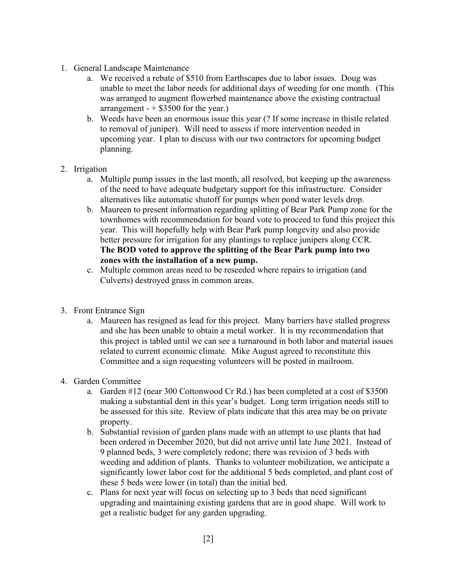- 1. General Landscape Maintenance
	- a. We received a rebate of \$510 from Earthscapes due to labor issues. Doug was unable to meet the labor needs for additional days of weeding for one month. (This was arranged to augment flowerbed maintenance above the existing contractual arrangement  $- +$  \$3500 for the year.)
	- b. Weeds have been an enormous issue this year (? If some increase in thistle related to removal of juniper). Will need to assess if more intervention needed in upcoming year. I plan to discuss with our two contractors for upcoming budget planning.
- 2. Irrigation
	- a. Multiple pump issues in the last month, all resolved, but keeping up the awareness of the need to have adequate budgetary support for this infrastructure. Consider alternatives like automatic shutoff for pumps when pond water levels drop.
	- b. Maureen to present information regarding splitting of Bear Park Pump zone for the townhomes with recommendation for board vote to proceed to fund this project this year. This will hopefully help with Bear Park pump longevity and also provide better pressure for irrigation for any plantings to replace junipers along CCR. **The BOD voted to approve the splitting of the Bear Park pump into two zones with the installation of a new pump.**
	- c. Multiple common areas need to be reseeded where repairs to irrigation (and Culverts) destroyed grass in common areas.
- 3. Front Entrance Sign
	- a. Maureen has resigned as lead for this project. Many barriers have stalled progress and she has been unable to obtain a metal worker. It is my recommendation that this project is tabled until we can see a turnaround in both labor and material issues related to current economic climate. Mike August agreed to reconstitute this Committee and a sign requesting volunteers will be posted in mailroom.
- 4. Garden Committee
	- a. Garden #12 (near 300 Cottonwood Cr Rd.) has been completed at a cost of \$3500 making a substantial dent in this year's budget. Long term irrigation needs still to be assessed for this site. Review of plats indicate that this area may be on private property.
	- b. Substantial revision of garden plans made with an attempt to use plants that had been ordered in December 2020, but did not arrive until late June 2021. Instead of 9 planned beds, 3 were completely redone; there was revision of 3 beds with weeding and addition of plants. Thanks to volunteer mobilization, we anticipate a significantly lower labor cost for the additional 5 beds completed, and plant cost of these 5 beds were lower (in total) than the initial bed.
	- c. Plans for next year will focus on selecting up to 3 beds that need significant upgrading and maintaining existing gardens that are in good shape. Will work to get a realistic budget for any garden upgrading.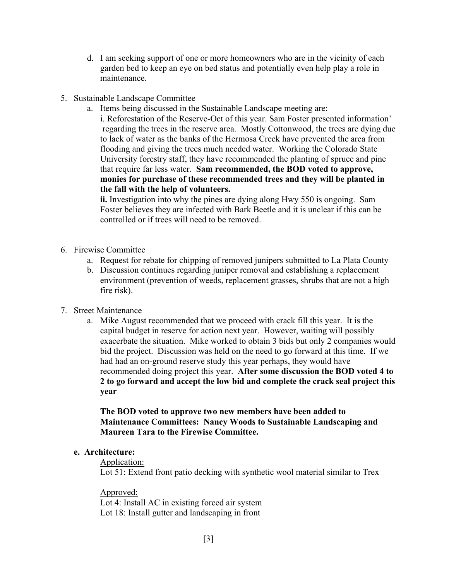- d. I am seeking support of one or more homeowners who are in the vicinity of each garden bed to keep an eye on bed status and potentially even help play a role in maintenance.
- 5. Sustainable Landscape Committee
	- a. Items being discussed in the Sustainable Landscape meeting are:
		- i. Reforestation of the Reserve-Oct of this year. Sam Foster presented information' regarding the trees in the reserve area. Mostly Cottonwood, the trees are dying due to lack of water as the banks of the Hermosa Creek have prevented the area from flooding and giving the trees much needed water. Working the Colorado State University forestry staff, they have recommended the planting of spruce and pine that require far less water. **Sam recommended, the BOD voted to approve, monies for purchase of these recommended trees and they will be planted in the fall with the help of volunteers.**

**ii.** Investigation into why the pines are dying along Hwy 550 is ongoing. Sam Foster believes they are infected with Bark Beetle and it is unclear if this can be controlled or if trees will need to be removed.

- 6. Firewise Committee
	- a. Request for rebate for chipping of removed junipers submitted to La Plata County
	- b. Discussion continues regarding juniper removal and establishing a replacement environment (prevention of weeds, replacement grasses, shrubs that are not a high fire risk).
- 7. Street Maintenance
	- a. Mike August recommended that we proceed with crack fill this year. It is the capital budget in reserve for action next year. However, waiting will possibly exacerbate the situation. Mike worked to obtain 3 bids but only 2 companies would bid the project. Discussion was held on the need to go forward at this time. If we had had an on-ground reserve study this year perhaps, they would have recommended doing project this year. **After some discussion the BOD voted 4 to 2 to go forward and accept the low bid and complete the crack seal project this year**

**The BOD voted to approve two new members have been added to Maintenance Committees: Nancy Woods to Sustainable Landscaping and Maureen Tara to the Firewise Committee.** 

## **e. Architecture:**

## Application:

Lot 51: Extend front patio decking with synthetic wool material similar to Trex

Approved:

Lot 4: Install AC in existing forced air system Lot 18: Install gutter and landscaping in front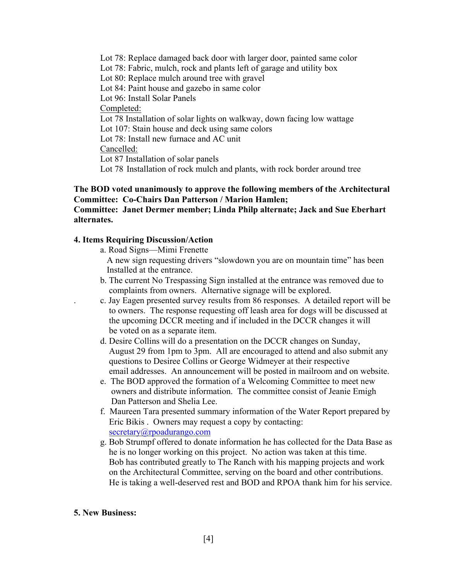Lot 78: Replace damaged back door with larger door, painted same color Lot 78: Fabric, mulch, rock and plants left of garage and utility box Lot 80: Replace mulch around tree with gravel Lot 84: Paint house and gazebo in same color Lot 96: Install Solar Panels Completed: Lot 78 Installation of solar lights on walkway, down facing low wattage Lot 107: Stain house and deck using same colors Lot 78: Install new furnace and AC unit Cancelled: Lot 87 Installation of solar panels Lot 78 Installation of rock mulch and plants, with rock border around tree

# **The BOD voted unanimously to approve the following members of the Architectural Committee: Co-Chairs Dan Patterson / Marion Hamlen;**

# **Committee: Janet Dermer member; Linda Philp alternate; Jack and Sue Eberhart alternates.**

# **4. Items Requiring Discussion/Action**

- a. Road Signs—Mimi Frenette
	- A new sign requesting drivers "slowdown you are on mountain time" has been Installed at the entrance.
- b. The current No Trespassing Sign installed at the entrance was removed due to complaints from owners. Alternative signage will be explored.
- . c. Jay Eagen presented survey results from 86 responses. A detailed report will be to owners. The response requesting off leash area for dogs will be discussed at the upcoming DCCR meeting and if included in the DCCR changes it will be voted on as a separate item.
- d. Desire Collins will do a presentation on the DCCR changes on Sunday, August 29 from 1pm to 3pm. All are encouraged to attend and also submit any questions to Desiree Collins or George Widmeyer at their respective email addresses. An announcement will be posted in mailroom and on website.
- e. The BOD approved the formation of a Welcoming Committee to meet new owners and distribute information. The committee consist of Jeanie Emigh Dan Patterson and Shelia Lee.
- f. Maureen Tara presented summary information of the Water Report prepared by Eric Bikis . Owners may request a copy by contacting: secretary@rpoadurango.com
- g. Bob Strumpf offered to donate information he has collected for the Data Base as he is no longer working on this project. No action was taken at this time. Bob has contributed greatly to The Ranch with his mapping projects and work on the Architectural Committee, serving on the board and other contributions. He is taking a well-deserved rest and BOD and RPOA thank him for his service.

### **5. New Business:**